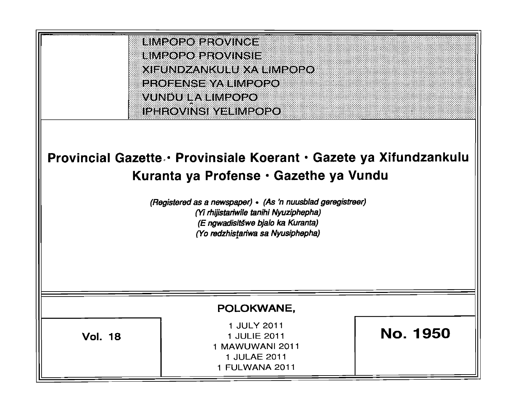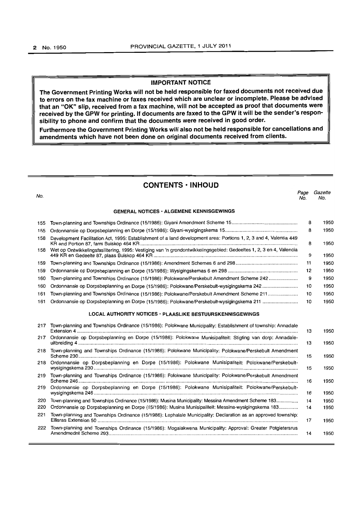#### IMPORTANT NOTICE

The Government Printing Works will not be held responsible for faxed documents not received due to errors on the fax machine or faxes received which are unclear or incomplete. Please be advised that an "OK" Slip, received from a fax machine, will not be accepted as proof that documents were received by the GPW for printing. If documents are faxed to the GPW it will be the sender's responsibility to phone and confirm that the documents were received in good order\_

Furthermore the Government Printing Works will also not be held responsible for cancellations and amendments which have not been done on original documents received from clients.

# CONTENTS· INHOUD No. Page Gazette No. No. GENERAL NOTICES - ALGEMENE KENNISGEWINGS 155 Town-planning and Townships Ordinance (15/1986): Giyani Amendment Scheme 15 ................................................ . 8 1950 155 Ordonnansie op Dorpsbeplanning en Dorpe (1511986): Giyani-wysigingskema 15 ..................................................... . 8 1950 158 Development Facilitation Act, 1995: Establishment of a land development area: Portions 1, 2, 3 and 4, Valentia 449 KR and Portion 87, farm Buiskop 464 KR .................................................................................................................... . 8 1950 158 Wet op Ontwikkelingsfasilitering, 1995: Vestiging van 'n grondontwikkelingsgebied: Gedeeltes 1, 2, 3 en 4, Valencia 449 KR en Gedeelte 87, plaas Buiskop 464 KR .......................................................................................................... . 9 1950 159 Town-planning and Townships Ordinance (15/1986): Amendment Schemes 6 and 298 ............................................ .. 11 1950 159 Ordonnansie op Dorpsbeplanning en Dorpe (15/1986): Wysigingskemas 6 en 298 ................................................... . 12 1950 160 Town-planning and Townships Ordinance (15/1986): Polokwane/Perskebult Amendment Scheme 242 ................... .. 9 1950 160 Ordonnansie op Dorpsbeplanning en Dorpa (15/1986): Polokwane/Perskebult-wysigingskema 242 ........................ .. 10 1950 161 Town-planning and Townships Ordinance (15/1986): Polokwane/Perskebult Amendment Scheme 211 .................... .. 10 1950 161 Ordonnansie op Dorpsbeplanning en Dorpe (15/1986): Polokwane/Perskebult-wysigingskema 211 ........................ .. 10 1950 LOCAL AUTHORITY NOTICES' PLAASLIKE BESTUURSKENNISGEWINGS 217 Town-planning and Townships Ordinance (15/1986): Polokwane Municipality: Establishment of township: Annadale Extension 4 ................................................................................................................................................................... . 13 1950 217 Ordonnansie op Dorpsbeplanning en Dorpe (15/1986): Polokwane Munisipaliteit: Stigting van dorp: Annadaleuitbreiding 4 .................................................................................................................................................................. . 13 1950 218 Town-planning and Townships Ordinance (15/1986): Polokwane Municipality: Polokwane/Perskebult Amendment Scheme 230 .................................................................................................................................................................. . 15 1950 218 Ordonnansie op Dorpsbeplanning en Dorpe (15/1986): Polokwane Munisipaliteit: POlokwane/Perskebultwysigingskema 230 ....................................................................................................................................................... .. 15 1950 219 Town-planning and Townships Ordinance (15/1986): Polokwane Municipality: Polokwane/Perskebult Amendment Scheme 246 ......................... '''''''' ................... , ...................................................................................................................... .. 16 1950 219 Ordonnansie op Dorpsbeplanning en Dorpe (15/1986): Polokwane Munisipaliteit: Polokwane/Perskebultwysigingskema 246 .......................................... " ....................................... , ......................................................... , .. , .. , .... . 16 1950 220 Town-planning and Townships Ordinance (15/1986): Musina Municipality: Messina Amendment Scheme 183 ................ . 14 1950 220 Ordonnansie op Dorpsbeplanning en Dorpe (15/1986): Musina Munisipaliteit: Messina-wysigingskema 183 ............ .. 14 1950 221 Town-planning and Townships Ordinance (15/1986): Lephalale Municipality: Declaration as an approved township: Ellisras Extension 50 ................................................................................................................................................... .. 17 1950 222 Town-planning and Townships Ordinance (15/1986): Mogalakwena Municipality: Approval: Greater Potgietersrus Amendmednt Scheme 293 ... , ......................................................................................................................................... . 14 1950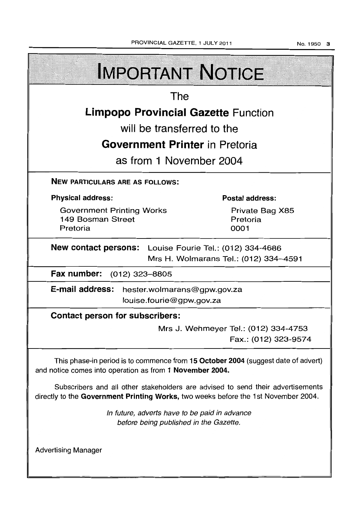**IMPORTANT NOTICE** The **Limpopo Provincial Gazette** Function will be transferred to the **Government Printer** in Pretoria as from 1 November 2004 NEW PARTICULARS ARE AS FOLLOWS: Physical address: Postal address: Government Printing Works Private Bag X85 149 Bosman Street Pretoria Pretoria 0001 New contact persons: Louise Fourie Tel.: (012) 334-4686 Mrs H. Wolmarans Tel.: (012) 334-4591 Fax number: (012) 323-8805 E-mail address: hester.wolmarans@gpw.gov.za louise.fourie@gpw.gov.za Contact person for subscribers: Mrs J. Wehmeyer Tel.: (012) 334-4753 Fax.: (012) 323-9574 This phase-in period is to commence from 15 October 2004 (suggest date of advert) and notice comes into operation as from 1 November 2004. Subscribers and all other stakeholders are advised to send their advertisements directly to the Government Printing Works, two weeks before the 1st November 2004. In future, adverts have to be paid in advance before being published in the Gazette.

Advertising Manager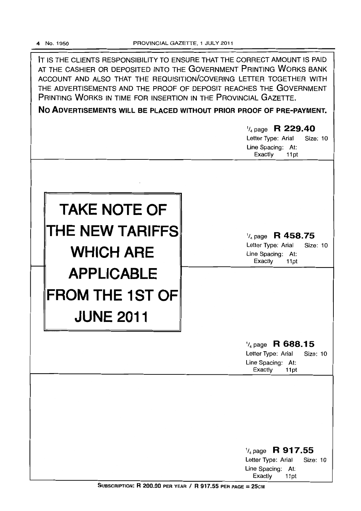IT IS THE CLIENTS RESPONSIBILITY TO ENSURE THAT THE CORRECT AMOUNT IS PAID AT THE CASHIER OR DEPOSITED INTO THE GOVERNMENT PRINTING WORKS BANK ACCOUNT AND ALSO THAT THE REQUISITION/COVERING LETTER TOGETHER WITH THE ADVERTISEMENTS AND THE PROOF OF DEPOSIT REACHES THE GOVERNMENT PRINTING WORKS IN TIME FOR INSERTION IN THE PROVINCIAL GAZETTE.

**No ADVERTISEMENTS WILL BE PLACED WITHOUT PRIOR PROOF OF PRE-PAYMENT.** 

|                        | $\frac{1}{4}$ page R 229.40<br>Letter Type: Arial<br>Size: 10<br>Line Spacing: At:<br>Exactly<br>11pt        |
|------------------------|--------------------------------------------------------------------------------------------------------------|
|                        |                                                                                                              |
| <b>TAKE NOTE OF</b>    |                                                                                                              |
| THE NEW TARIFFS        | $\frac{1}{4}$ page R 458.75                                                                                  |
| <b>WHICH ARE</b>       | Letter Type: Arial<br>Size: 10<br>Line Spacing: At:<br>Exactly<br>11pt                                       |
| <b>APPLICABLE</b>      |                                                                                                              |
| <b>FROM THE 1ST OF</b> |                                                                                                              |
| <b>JUNE 2011</b>       |                                                                                                              |
|                        | $\frac{1}{4}$ page R 688.15<br>Letter Type: Arial<br><b>Size: 10</b><br>Line Spacing: At:<br>Exactly<br>11pt |
|                        |                                                                                                              |
|                        |                                                                                                              |
|                        |                                                                                                              |
|                        | $\frac{1}{4}$ page R 917.55<br>Letter Type: Arial<br>Size: 10<br>Line Spacing: At:<br>Exactly<br>11pt        |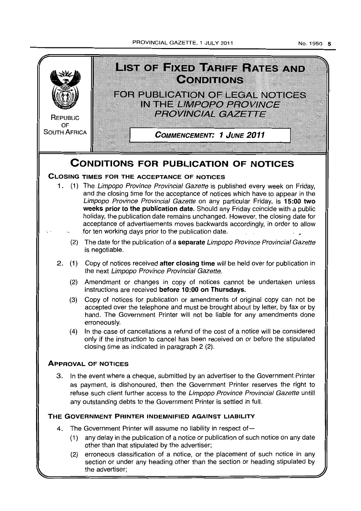PROVINCIAL GAZETTE. 1 JULY 2011



No.1950 5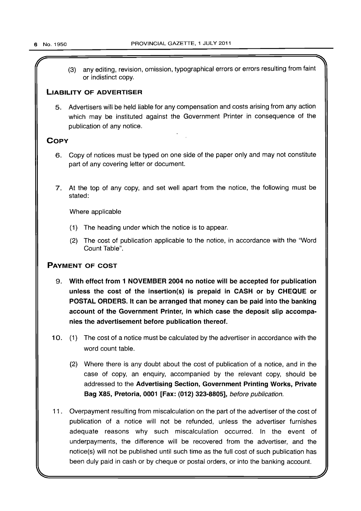(3) any editing, revision, omission, typographical errors or errors resulting from faint or indistinct copy.

# LIABILITY OF ADVERTISER

5. Advertisers will be held liable for any compensation and costs arising from any action which may be instituted against the Government Printer in consequence of the publication of any notice.

# **COPY**

- 6. Copy of notices must be typed on one side of the paper only and may not constitute part of any covering letter or document.
- 7. At the top of any copy, and set well apart from the notice, the following must be stated:

Where applicable

- (1) The heading under which the notice is to appear.
- (2) The cost of publication applicable to the notice, in accordance with the "Word Count Table".

# PAYMENT OF COST

- 9. With effect from 1 NOVEMBER 2004 no notice will be accepted for publication unless the cost of the insertion(s) is prepaid in CASH or by CHEQUE or POSTAL ORDERS. It can be arranged that money can be paid into the banking account of the Government Printer, in which case the deposit slip accompanies the advertisement before publication thereof.
- 10. (1) The cost of a notice must be calculated by the advertiser in accordance with the word count table.
	- (2) Where there is any doubt about the cost of publication of a notice, and in the case of copy, an enquiry, accompanied by the relevant copy, should be addressed to the Advertising Section, Government Printing Works, Private Bag X85, Pretoria, 0001 [Fax: (012) 323-8805], before publication.
- 11. Overpayment resulting from miscalculation on the part of the advertiser of the cost of publication of a notice will not be refunded, unless the advertiser furnishes adequate reasons why such miscalculation occurred. In the event of underpayments, the difference will be recovered from the advertiser, and the notice(s) will not be published until such time as the full cost of such publication has been duly paid in cash or by cheque or postal orders, or into the banking account.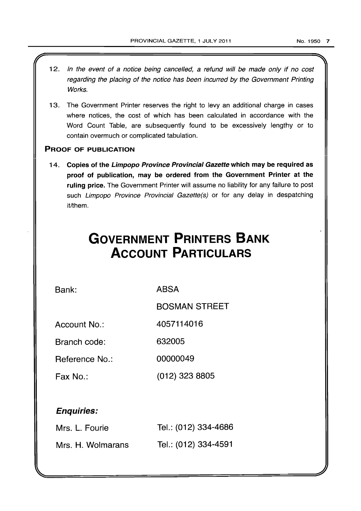- 12. In the event of a notice being cancelled, a refund will be made only if no cost regarding the placing of the notice has been incurred by the Government Printing Works.
- 13. The Government Printer reserves the right to levy an additional charge in cases where notices, the cost of which has been calculated in accordance with the Word Count Table, are subsequently found to be excessively lengthy or to contain overmuch or complicated tabulation.

# PROOF OF PUBLICATION

14. Copies of the Limpopo Province Provincial Gazette which may be required as proof of publication, may be ordered from the Government Printer at the ruling price. The Government Printer will assume no liability for any failure to post such Limpopo Province Provincial Gazette(s) or for any delay in despatching it/them.

# **GOVERNMENT PRINTERS BANK ACCOUNT PARTICULARS**

Bank:

ABSA

BOSMAN STREET

Account No.: 4057114016

Branch code: 632005

Reference No.: 00000049

Fax No.: (012) 323 8805

# Enquiries:

| Mrs. L. Fourie    | Tel.: (012) 334-4686 |
|-------------------|----------------------|
| Mrs. H. Wolmarans | Tel.: (012) 334-4591 |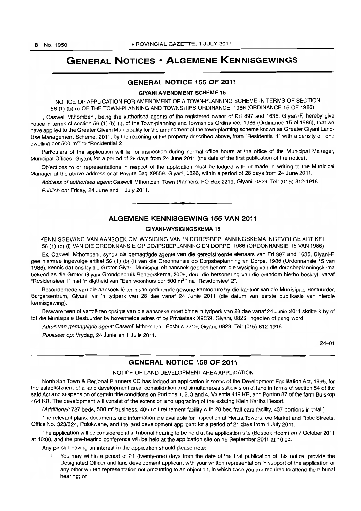# **GENERAL NOTICES • ALGEMENE KENNISGEWINGS**

# **GENERAL NOTICE 155 OF 2011**

## **GIVANI AMENDMENT** SCHEME 15

NOTICE OF APPLICATION FOR AMENDMENT OF A TOWN-PLANNING SCHEME IN TERMS OF SECTION 56 (1) (b) (i) OF THE TOWN-PLANNING AND TOWNSHIPS ORDINANCE. 1986 (ORDINANCE 15 OF 1986)

I, Caswell Mthombeni, being the authorised agents of the registered owner of Erf 897 and 1635, Giyani-F, hereby give notice in terms of section 56 (1) (b) (i), of the Town-planning and Townships Ordinance, 1986 (Ordinance 15 of 1986), that we have applied to the Greater Giyani Municipality for the amendment of the town-planning scheme known as Greater Giyani Land-Use Management Scheme, 2011, by the rezoning of the property described above, from "Residential 1" with a density of "one dwelling per 500 m<sup>2</sup>" to "Residential 2".

Particulars of the application will lie for inspection during normal office hours at the office of the Municipal Manager, Municipal Offices, Giyani, for a period of 28 days from 24 June 2011 (the date of the first publication of the notice).

Objections to or representations in respect of the application must be lodged with or made in writing to the Municipal Manager at the above address or at Private Bag X9559, Giyani, 0826, within a period of 28 days from 24 June 2011.

Address of authorised agent: Caswell Mthombeni Town Planners, PO Box 2219, Giyani, 0826. Tel: (015) 812-1918.

Publish on: Friday, 24 June and 1 July 2011.

# **ALGEMENE KENNISGEWING 155 VAN 2011**

. **-.** 

# GIYANI-WYSIGINGSKEMA **15**

KENNISGEWING VAN AANSOEK OM WYSIGlNG VAN 'N DORPSBEPLANNINGSKEMA INGEVOLGE ARTIKEL 56 (1) (b) (i) VAN DIE ORDONNANSIE OP DORPSBEPLANNING EN DORPE, 1986 (ORDONNANSIE 15 VAN 1986)

Ek, Caswell Mthombeni, synde die gemagtigde agente van die geregistreerde eienaars van Erf 897 and 1635, Giyani-F, gee hiermee ingevolge artikel 56 (1) (b) (i) van die Ordonnansie op Dorpsbeplanning en Dorpe, 1986 (Ordonnansie 15 van 1986), kennis dat ons by die Grater Giyani Munisipaliteit aansoek gedoen het om die wysiging van die dorpsbeplanningskema bekend as die Groter Giyani Grondgebruik Beheerskema, 2009, deur die hersonering van die eiendom hierbo beskryf, vanaf "Residensieel 1" met 'n digtheid van "Een woonhuis per 500 m<sup>2</sup> " na "Residensieel 2".

Besonderhede van die aansoek lê ter insae gedurende gewone kantoorure by die kantoor van die Munisipale Bestuurder, Burgersentrum, Giyani, vir 'n tydperk van 28 dae vanaf 24 Junie 2011 (die datum van eerste publikasie van hierdie kennisgewing).

Besware teen of vertoë ten opsigte van die aansoeke moet binne 'n tydperk van 28 dae vanaf 24 Junie 2011 skriftelik by of tot die Munisipale 8estuurder by bovermelde adres of by Privaatsak X9559, Giyani, 0826, ingedien of gerig word.

Adres van gemagtigde agent: Caswell Mthombeni, Posbus 2219, Giyani, 0829. Tel: (015) 812-1918.

Publiseer op: Vrydag, 24 Junie en 1 Julie 2011.

24-01

# **GENERAL NOTICE 158 OF 2011**

# NOTICE OF LAND DEVELOPMENT AREA APPLICATION

Northplan Town & Regional Planners CC has lodged an application in terms of the Development Facilitation Act, 1995, for the establishment of a land development area, consolidation and simultaneous subdivision of land in terms of section 54 of the said Act and suspension of certain title conditions on Portions 1, 2, 3 and 4, Valentia 449 KR, and Portion 87 of the farm Buiskop 464 KR. The development will consist of the extension and upgrading of the existing Klein Kariba Resort.

(Additional: 787 beds, 500 m<sup>2</sup> business, 405 unit retirement facility with 20 bed frail care facility, 437 portions in total.)

The relevant plans, documents and information are available for inspection at Hensa Towers, c/o Market and Rabe Streets, Office No. 323/324, Polokwane, and the land development applicant for a period of 21 days from 1 July 2011.

The application will be considered at a Tribunal hearing to be held at the application site (Bosbok Room) on 7 October 2011 at 10:00, and the pre-hearing conference will be held at the application site on 16 September 2011 at 10:00.

Any person having an interest in the application should please note:

1. You may within a period of 21 (twenty-one) days from the date of the first publication of this notice, provide the Designated Officer and land development applicant with your written representation in support of the application or any other written representation not amounting to an objection, in which case you are required to attend the tribunal hearing; or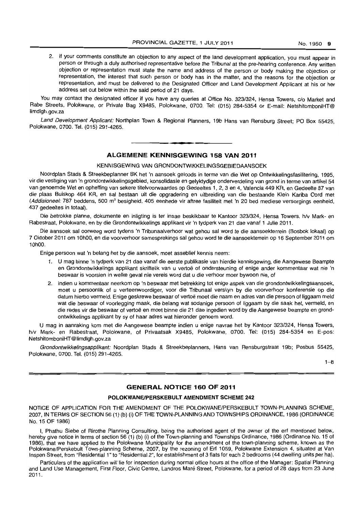2. if your comments constitute an objection to any aspect of the land development application, you must appear in person or through a duly authorised representative before the Tribunal at the pre-hearing conference. Any written objection or representation must state the name and address of the person or body making the objection or representation, the interest that such person or body has in the matter, and the reasons for the objection or representation, and must be delivered to the DeSignated Officer and Land Development Applicant at his or her address set out below within the said period of 21 days.

You may contact the designated officer if you have any queries at Office No. 323/324, Hensa Towers, c/o Market and Rabe Streets, Polokwane, or Private Bag X9485, Polokwane, 0700. Tel: (015) 284-5354 or E-mail: NetshitomboniHT@ limdigh.gov.za

Land Development Applicant: Northplan Town & Regional Planners, 19b Hans van Rensburg Street; PO Box 55425, Polokwane, 0700. Tel. (015) 291-4265.

# **• ALGEMENE KENNISGEWING 158 VAN 2011**

KENNISGEWING VAN GRONDONTWIKKELINGSGEBIEDAANSOEK

Noordplan Stads & Streekbeplanner BK het 'n aansoek geloods in terme van die Wet op Ontwikkelingsfasilitering, 1995, vir die vestiging van 'n grondontwikkelingsgebied, konsolidasie en gelyktydige onderverdeling van grond in terme van artikel 54 van genoemde Wet en opheffing van sekere titelvoorwaardes op Gedeeltes 1, 2, 3 en 4, Valencia 449 KR, en Gedeelte 87 van die plaas Buiskop 464 KR, en sal bestaan uit die opgradering en uitbreiding van die bestaande Klein Kariba Oord met (Addisioneel: 787 beddens, 500 m<sup>2</sup> besigheid, 405 eenhede vir aftree fasiliteit met 'n 20 bed mediese versorgings eenheid, 437 gedeeltes in totaal).

Die betrokke planne, dokumente en inligting is ter insae beskikbaar te Kantoor 323/324, Hensa Towers, h/v Mark- en Rabestraat, Polokwane, en by die Grondontwikkelings applikant vir 'n tydperk van 21 dae vanaf 1 Julie 2011.

Die aansoek sal oorweeg word tydens 'n Tribunaalverhoor wat gehou sal word te die aansoekterrein (Bosbok lokaal) op 7 Oktober 2011 om 10hOO, en die voorverhoor samesprekings sal gehou word te die aansoekterrein op 16 September 2011 om 10hOO.

Enige persoon wat 'n belang het by die aansoek, moet asseblief kennis neem:

- 1. U mag binne 'n tydperk van 21 dae vanaf die eerste publikasie van hierdie kennisgewing, die Aangewese Beampte en Grondontwikkelings applikant skriftelik van u vertoe of ondersteuning of enige ander kommentaar wat nie 'n beswaar is voorsien in welke geval nie vereis word dat u die verhoor moer bywoon nie, of
- 2. indien u kommentaar neerkom op 'n beswaar met betrekking tot enige aspek van die grondontwikkelingsaansoek, moet u persoonlik of u verteenwoordiger, voor die Tribunaal verskyn by die voorverhoor konferensie op die datum hierbo vermeld. Enige geskrewe beswaar of vertoë moet die naam en adres van die persoon of liggaam meld wat die beswaar of voorlegging maak, die belang wat sodanige persoon of liggaam by die saak het, vermeld, en die redes vir die beswaar of vertoë en moet binne die 21 dae ingedien word by die Aangewese beampte en grondontwikkelings applikant by sy of haar adres wat hieronder genoem word.

U mag in aanraking kom met die Aangewese beampte indien u enige navrae het by Kantoor 323/324, Hensa Towers, h/v Mark- en Rabestraat, Polokwane, of Privaatsak X9485, Polokwane, 0700. Tel: (015) 284-5354 en E-pos: NetshitomboniHT@limdlgh.gov.za

Grondontwikkelingsapplikant: Noordplan Stads & Streekbeplanners, Hans van Rensburgstraat 19b; Posbus 55425, Polokwane, 0700. Tel. (015) 291-4265.

 $1 - R$ 

# **GENERAL NOTICE 160 OF 2011**

# **POLOKWANEIPERSKEBULT AMENDMENT SCHEME** 242

NOTICE OF APPLICATION FOR THE AMENDMENT OF THE POLOKWANE/PERSKEBULT TOWN-PLANNING SCHEME, 2007, IN TERMS OF SECTION 56 (1) (b) (i) OF THE TOWN-PLANNING AND TOWNSHIPS ORDINANCE, 1986 (ORDINANCE No. 15 OF 1986)

I, Phathu Siebe of Rirothe Planning Consulting, being the authorised agent of the owner of the erf mentioned below, hereby give notice in terms of section 56 (1) (b) (i) of the Town-planning and Townships Ordinance, 1986 (Ordinance No. 15 of 1986), that we have applied to the Polokwane Municipality for the amendment of the town-planning scheme, known as the Polokwane/Perskebult Town-planning Scheme, 2007, by the rezoning of Erf 1059, Polokwane Extension 4, situated at Van Inspen Street, from "Residential 1" to "Residential 2", for establishment of 3 flats for each 2 bedrooms (44 dwelling units per hal.

Particulars of the application will lie for inspection during normal office hours at the office of the Manager: Spatial Planning and Land Use Management, First Floor, Civic Centre, Landros Mare Street, Polokwane, for a period of 28 days from 23 June 2011.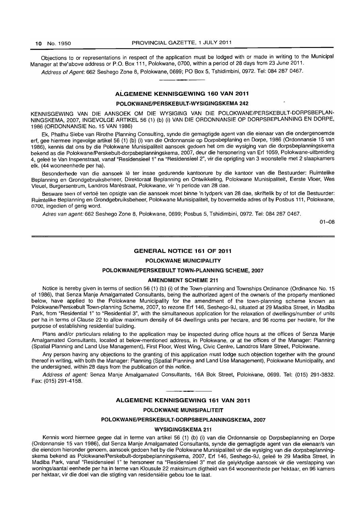Objections to or representations in respect of the application must be lodged with or made in writing to the Municipal Manager at the'above address or P.O. Box 111. Polokwane, 0700, within a period of 28 days from 23 June 2011.

Address of Agent: 662 Seshego Zone 8, Polokwane, 0699; PO Box 5, Tshidimbini, 0972. Tel: 084 287 0467.

## **ALGEMENE KENNISGEWING 160 VAN 2011**

## **POLOKWANEIPERSKEBULT-WYSIGINGSKEMA 242**

KENNISGEWING VAN DIE AANSOEK OM DIE WYSIGING VAN DIE POLOKWANE/PERSKEBULT-DORPSBEPLAN-NINGSKEMA, 2007, INGEVOLGE ARTIKEL 56 (1) (b) (i) VAN DIE ORDONNANSIE OP DORPSBEPLANNING EN DORPE, 1986 (ORDONNANSIE No. 15 VAN 1986)

Ek, Phathu Siebe van Rirothe Planning Consulting, synde die gemagtigde agent van die eienaar van die ondergenoemde ert, gee hiermee ingevolge artikel 56 (1) (b) (i) van die Ordonnansie op Dorpsbeplaning en Dorpe, 1986 (Ordonnansie 15 van 1986), kennis dat ons by die Polokwane Munisipaliteit aansoek gedoeri het om die wysiging van die dorpsbeplanningskema bekend as die Polokwane/Perskebult-dorpsbeplanningskema, 2007, deur die hersonering van Erf 1059, Polokwane-uitbreiding 4, gelee te Van Inspenstraat, vanaf "ResidensieeI1" na "Residensieel 2", vir die oprigting van 3 woonstelle met 2 slaapkamers elk. (44 wooneenhede per hal.

Besonderhede van die aansoek lê ter insae gedurende kantoorure by die kantoor van die Bestuurder: Ruimtelike Beplanning en Grondgebruiksbeheer. Direktoraat Beplanning en Ontwikkeling, Polokwane Munisipaliteit, Eerste Vloer, Wes Vleuel, Burgersentrum, Landros Marestraat, Polokwane, vir 'n periode van 28 dae.

Besware teen of vertoë ten opsigte van die aansoek moet binne 'n tydperk van 28 dae, skriftelik by of tot die Bestuurder: Ruimtelike Beplanning en Grondgebruiksbeheer, Polokwane Munisipaliteit. by bovermelde adres of by Posbus 111, Polokwane, 0700, ingedien of gerig word.

Adres *van* agent: 662 Seshego Zone 8, Polokwane, 0699; Posbus 5, Tshidimbini, 0972. Tel: 084 287 0467.

01-08

## **GENERAL NOTICE 161 OF 2011**

#### **POLOKWANE MUNICIPALITY**

# **POLOKWANE/PERSKEBULT TOWN-PLANNING SCHEME, 2007**

## **AMENDMENT SCHEME 211**

Notice is hereby given in terms of section 56 (1) (b) (i) of the Town-planning and Townships Ordinance (Ordinance No. 15 of 1986), that Senza Manje Amalgamated Consultants, being the authorized agent of the owner/s of the property mentioned below, have applied to the Polokwane Municipality for the amendment of the town-planning scheme known as Polokwane/Perskebult Town-planning Scheme, 2007, to rezone Ert 146, Seshego-9J, situated at 29 Madiba Street, in Madiba Park, from "Residential 1" to "Residential 3", with the simultaneous application for the relaxation of dwellings/number of units per ha in terms of Clause 22 to allow maximum density of 64 dwellings units per hectare, and 96 rooms per hectare, for the purpose of establishing residential building.

Plans and/or particulars relating to the application may be inspected during office hours at the offices of Senza Manje Amalgamated Consultants, located at below-mentioned address, in Polokwane, or at the offices of the Manager: Planning (Spatial Planning and Land Use Management), First Floor, West Wing, Civic Centre, Landdros Mare Street, Polokwane.

Any person having any objections to the granting of this application must lodge such objection together with the ground thereof in writing, with both the Manager: Planning (Spatial Planning and Land Use Management), Polokwane Municipality, and the undersigned. within 28 days from the publication of this notice.

Address of agent: Senza Manje Amalgamated Consultants, 16A Bok Street, Polokwane, 0699. Tel: (015) 291-3832. Fax: (015) 291-4158.

#### **ALGEMENE KENNISGEWING 161 VAN 2011**

#### **POLOKWANE MUNISIPALITEIT**

#### **POLOKWANEIPERSKEBULT-DORPSBEPLANNINGSKEMA,2007**

## **WYSIGINGSKEMA 211**

Kennis word hiermee gegee dat in terme van artikel 56 (1) (b) (i) van die Ordonnansie op Dorpsbeplanning en Dorpe (Ordonnansie 15 van 1986), dat Senza Manje Amalgamated Consultants. synde die gemagtigde agent van die eienaarls van die eiendom hieronder genoem, aansoek gedoen het by die Polokwane Munisipaliteit vir die wysiging van die dorpsbeplanningskema bekend as Polokwane/Perskebult-dorpsbeplanningskema, 2007, Erf 146, Seshego-9J. gelee te 29 Madiba Street, in Madiba Park, vanaf "Residensieel 1" te hersoneer na "Residensieel 3" met die gelyktydige aansoek vir die verslapping van wonings/aantal eenhede per ha in terme van Klousule 22 maksimum digtheid van 64 wooneenhede per hektaar, en 96 kamers per hektaar, vir die doel van die stigting van residensiele gebou toe te laat.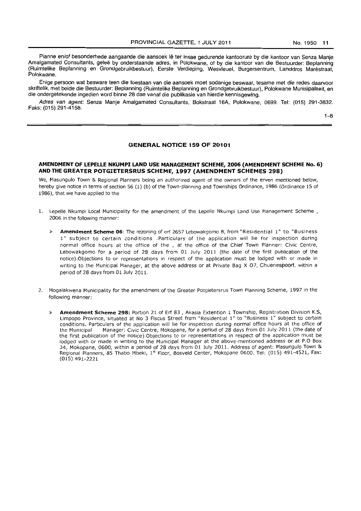Planne en/of besonderhede aangaande die aansoek lê ter insae gedurende kantoorure by die kantoor van Senza Manje Amalgamated Consultants, geleë by onderstaande adres, in Polokwane, of by die kantoor van die Bestuurder: Beplanning (Ruimtelike Beplanning en Grondgebruikbestuur), Eerste Verdieping, Wesvleuel. Burgersentrum, Landdros Marestraat, Polokwane.

Enige persoon wat besware teen die toestaan van die aansoek moet sodanige beswaar, tesame met die redes daarvoor skriftelik, met beide die Bestuurder: Beplanning (Ruimtelike Beplanning en Grondgebruikbestuur), Polokwane Munisipaliteit, en die ondergetekende ingedien word binne 28 dae vanaf die publikasie van hierdie kennisgewing.

Adres van agent: Senza Manje Amalgamated Consultants, Bokstraat 16A, Polokwane, 0699. Tel: (015) 291-3832. Faks: (015) 291-4158.

1-8

## **GENERAL NOTICE 159 OF 20101**

# **AMENDMENT OF LEPELLE NKUMPI LAND USE MANAGEMENT SCHEME, 2006 (AMENDMENT SCHEME No.6) AND THE GREATER POTGIETERSRUS SCHEME, 1997 (AMENDMENT SCHEMES 29S)**

We, Masungulo Town & Regional Planners being an authorized agent of the owners of the erven mentioned below, hereby give notice in terms of section 56 (1) (b) of the Town-planning and Townships Ordinance, 1986 (Ordinance 15 of 1986), that we have applied to the

- 1. Lepelle Nkumpi Local Municipality for the amendment of the Lepelle Nkumpi Land Use Management Scheme, 2006 in the following manner:
	- Amendment Scheme 06: The rezoning of erf 2657 Lebowakgomo B, from "Residential 1" to "Business 1" subject to certain conditions .Particulars of the application will lie for inspection during normal office hours at the office of the , at the office of the Chief Town Planner: Civic Centre, Lebowakgomo for a period of 28 days from 01 July 2011 (the date of the first publication of the notice).Objections to or representations in respect of the application must be lodged with or made in writing to the Municipal Manager, at the above address or at Private Bag X 07, Chuenespoort, within a period of 28 days from 01 July 2011.
- 2. Mogalakwena Municipality for the amendment of the Greater Potgietersrus Town Planning Scheme, 1997 in the following manner:
	- >- **Amendment Scheme 298:** Portion 21 of Erf 83 , Akasia Extention 1 Township, Registration Division K.S, Limpopo Province, situated at No 3 Fiscus Street from "Residential 1" to "Business 1" subject to certain conditions. Particulars of the application will lie for inspection during normal office hours at the office of the Municipal Manager: Civic Centre, Mokopane, for a period of 28 days from 01 July 2011 (the date of the first publication of the notice).Objections to or representations in respect of the application must be lodged with or made in writing to the Municipal Manager at the above-mentioned address or at P.O Box 34, Mokopane, 0600, within a period of 28 days from 01 July 2011. Address of agent: Masungulo Town & Regional Planners, 85 Thabo Mbeki, 1<sup>st</sup> Floor, Bosveld Center, Mokopane 0600. Tel: (015) 491-4521, Fax: (015) 491-2221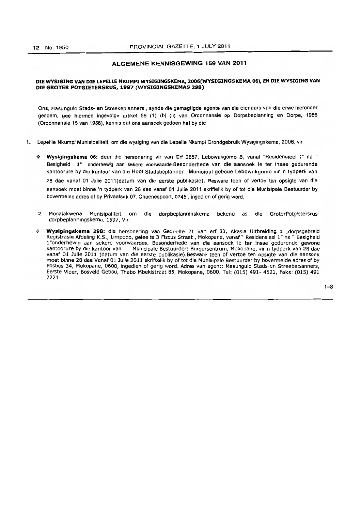# ALGEMENE KENNISGEWING 159 VAN 2011

#### DIE WYSIGING VAN DIE LEPELLE NKUMPI WYSIGINGSKEMA, 2006(WYSIGINGSKEMA 06), EN DIE WYSIGING VAN DIE GROTER POTGIETERSRUS, 1997 (WYSIGINGSKEMAS 298)

Ons, Masungulo Stads- en Streekeplanners , synde die gemagtigde agente van die eienaars van die erwe hieronder genoem, gee hiermee ingevolge artikel 56 (1) (b) (ii) van Ordonnansie op Dorpsbeplanning en Dorpe, 1986 (Ordonnansie 15 van 1986), kennis dat ons aansoek gedoen het by die

- I. Lepeltle Nkumpi Munisipaliteit, om die wysiging van die Lepelle Nkumpi Grondgebruik Wysigingskema, 2006, vir
	- <- Wysigingskema 06: deur die hersonering vir van Erf 2657, Lebowakgomo B, vanaf "Residensieel 1" na " Besigheid 1" onderhewig aan sekere voorwaarde.Besonderhede van die aansoek Ie ter insae gedurende kantoorure by die kantoor van die Hoof Stadsbeplanner, Municipal geboue,lebowakgomo vir 'n tydperk van 28 dae vanaf 01 Julie 2011 (datum van die eerste publikasie). Besware teen of vertoe ten opsigte van die aansoek moet binne 'n tydperk van 28 dae vanaf 01 Julie 2011 skriftelik by of tot die Munisipale Bestuurder by bovermelde adres of by Privaatsak 07, Chuenespoort, 0745 , ingedien of gerig word.
	- 2. Mogalakwena Munisipaliteit om die dorpbeplanninskema bekend as die GroterPotgletersrusdorpbeplanningskems, 1997, Vir:
	- Wysigingskema 298: die hersonering van Gedeelte 21 van erf 83, Akasia Uitbreiding 1 ,dorpsgebreid Registrasie Afdeling K.S., limpopo, gelee te 3 Fiscus Straat , Mokopane, vanaf ~ Residensieel 1" na " Besigheid l"onderhewig aan sekere voorwaardes. Besonderhede van die aansoek Ie ter insae gedurende gewone kantoorure by die kantoor van Municipale Bestuurder: Burgersentrum, Mokopane, vir n tydperk van 28 dae vanaf 01 Julie 2011 (datum van die eerste publikasie).Besware teen of vertoe ten opsigte van die aansoek moet binne 28 dae Vanaf 01 Julie 2011 skriftelik by of tot die Munisipale Bestuurder by bovermelde adres of by Posbus 34, Mokopane, 0600, ingedien of gerig word. Adres van agent: Masungulo Stads-en Streebeplanners, Eerste Vloer, Bosveld Gebou, Thabo Mbekistraat 85, Mokopane, 0600. Tel: (015) 491- 4521, Faks: (015) 491 2221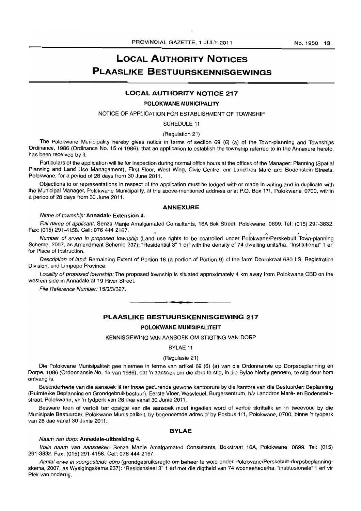# **LOCAL AUTHORITY NOTICES PLAASLIKE BESTUURSKENNISGEWINGS**

## **LOCAL AUTHORITY NOTICE 217**

# **POLOKWANE MUNICIPALITY**

# NOTICE OF APPLICATION FOR ESTABLISHMENT OF TOWNSHIP

## SCHEDULE 11

## (Regulation 21)

The Polokwane Municipality hereby gives notice in terms of section 69 (6) (a) of the Town-planning and Townships Ordinance, 1986 (Ordinance No. 15 of 1986), that an application to establish the township referred to in the Annexure hereto, has been received by it.

Particulars of the application will lie for inspection during normal office hours at the offices of the Manager: Planning (Spatial Planning and Land Use Management), First Floor, West Wing, Civic Centre, cnr Landdros Maré and Bodenstein Streets, Polokwane, for a period of 28 days from 30 June 2011.

Objections to or representations in respect of the application must be lodged with or made in writing and in duplicate with the Municipal Manager, Polokwane Municipality, at the above-mentioned address or at P.O. Box 111, Polokwane, 0700, within a period of 28 days from 30 June 2011.

# **ANNEXURE**

## Name of township: **Annadale Extension** 4.

Full name of applicant: Senza Manje Amalgamated Consultants, 16A Bok Street, Polokwane, 0699. Tel: (015) 291-3832. Fax: (015) 291-4158. Cell: 076 444 2167.

Number of erven in proposed township (Land use rights to be controlled under Polokwane/Perskebult Town-planning Scheme, 2007, as Amendment Scheme 237): "Residential 3" 1 ert with the density of 74 dwelling units/ha, "Institutional" 1 ert for Place of Instruction.

Description of land: Remaining Extent of Portion 18 (a portion of Portion 9) of the farm Doornkraal 680 LS, Registration Division, and Limpopo Province.

Locality of proposed township: The proposed township is situated approximately 4 km away from Polokwane CBD on the western side in Annadale at 19 River Street.

File Reference Number: 15/3/3/327.

**PLAASLIKE BESTUURSKENNISGEWING 217** 

. **- .** 

#### **POLOKWANE MUNISIPALITEIT**

## KENNISGEWING VAN AANSOEK OM STIGTING VAN DORP

#### BYLAE 11

#### (Regulasie 21)

Die Polokwane Munisipaliteit gee hiermee in terme van artikel 69 (6) (a) van die Ordonnansie op Dorpsbeplanning en Dorpe, 1986 (Ordonnansie No. 15 van 1986), dat 'n aansoek om die dorp te stig, in die Bylae hierby genoem, te stig deur hom ontvang is.

Besonderhede van die aansoek lê ter insae gedurende gewone kantoorure by die kantore van die Bestuurder: Beplanning (Ruimtelike Beplanning en Grondgebruikbestuur), Eerste Vloer, Wesvleuel, Burgersentrum, *h/v* Landdros Mare- en Bodensteinstraat, Polokwane, vir 'n tydperk van 28 dae vanaf 30 Junie 2011.

Besware teen of vertoë ten opsigte van die aansoek moet ingedien word of vertoë skriftelik en in tweevoud by die Munisipale Bestuurder, Polokwane Munisipafiteit, by bogenoemde adres of by Posbus 111, Polokwane, 0700, binne 'n tydperk van 28 dae vanaf 30 Junie 2011.

#### **BYLAE**

#### Naam van dorp: **Annadale-uitbreiding** 4.

Volle naam van aansoeker: Senza Manje Amalgamated Consultants, Bokstraat 16A, Polokwane, 0699. Tel: (015) 291-3832. Fax: (015) 291-4158. Cel!: 076 444 2167.

Aantal erwe in voorgestelde dorp (grondgebruiksregte om beheer te word onder Polokwane/Perskebult-dorpsbeplanningskema, 2007, as Wysigingskema 237): "ResidensieeI3" 1 erf met die digtheid van 74 wooneehede/ha, "Institusionele" 1 ert vir Plek van onderrig.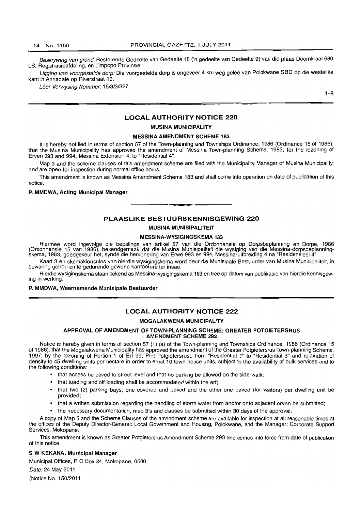Beskrywing van grond: Resterende Gedeelte van Gedeelte 18 ('n gedeelte van Gedeelte 9) van die plaas Doornkraal 680 LS, Registrasieafdeling, en Limpopo Provinsie.

Ligging van voorgestelde dorp: Die voorgestelde dorp is ongeveer 4 km weg geleë van Polokwane SBG op die westelike kant in Annadale op Riverstraat 19.

Lêer Verwysing Nommer: 15/3/3/327.

 $1 - 8$ 

# LOCAL AUTHORITY NOTICE 220

MUSINA MUNICIPALITY

## MESSINA AMENDMENT SCHEME 183

It is hereby notified in terms of section 57 of the Town-planning and Townships Ordinance, 1986 (Ordinance 15 of 1986), that the Musina Municipality has approved the amendment of Messina Town-planning Scheme, 1983, for the rezoning of Erven 993 and 994, Messina Extension 4, to "Residential 4".

Map 3 and the scheme clauses of this amendment scheme are filed with the Municipality Manager of Musina Municipality, and are open for inspection during normal office hours.

This amendment is known as Messina Amendment Scheme 183 and shall come into operation on date of publication of this notice.

#### P. MMDWA, Acting Municipal Manager

## PLAASLIKE BESTUURSKENNISGEWING 220

**-.** 

#### MUSINA MUNISIPALITEIT

#### MESSINA~WVSIGINGSKEMA 183

Hiermee word ingevolge die bepalings van artikel 57 van die Ordonnansie op Dorpsbeplanning en Dorpe, 1986 (Ordonnansie 15 van 1986), bekendgemaak dat die Musina Munisipaliteit die wysiging van die Messina-dorpsbeplanningskema, 1983, goedgekeur het, synde die hersonering van Erwe 993 en 994, Messina-uitbreiding 4 na "Residensieel 4",

Kaart 3 en skemaklousules van hierdie wysigingskema word deur die Munisipale Bestuurder van Musina Munisipaliteit, in bewaring gehou en lê gedurende gewone kantoorure ter insae.

Hierdie wysigingskema staan bekend as Messina-wysigingskema 183 en tree op datum van publikasie van hierdie kennisgewing in werking.

#### P. MMDWA, Waarnemende Munisipale Bestuurder

## LOCAL AUTHORITY NOTICE 222

## MOGALAKWENA MUNICIPALITY

## APPROVAL OF AMENDMENT OF TOWN-PLANNING SCHEME: GREATER POTGIETERSRUS AMENDMENT SCHEME 293

Notice is hereby given in terms of section 57 (1) (a) of the Town-planning and Townships Ordinance, 1986 (Ordinance 15 of 1986), that the Mogalakwena Municipality has approved the amendment of the Greater Potgietersrus Town-planning Scheme, 1997, by the rezoning of Portion 1 of Erf 99, Piet Potgietersrust. from "Residential 1" to "Residential 3" and relaxation of density to 45 dwelling units per hectare in order to erect 10 town house units, subject to the availability of bulk services and to the following conditions:

- that access be paved to street level and that no parking be allowed on the side-walk;
- that loading and off loading shall be accommodated within the ert;
- that two (2) parking bays, one covered and paved and the other one paved (for visitors) per dwelling unit be provided;
- that a written submission regarding the handling of storm water from and/or onto adjacent erven be submitted;
- the necessary documentation, map 3's and clauses be submitted within 30 days of the approval.

A copy of Map 3 and the Scheme Clauses of the amendment scheme are available for inspection at all reasonable times at the offices of the Deputy Director-General: Local Government and Housing. Polokwane, and the Manager: Corporate Support Services, Mokopane.

This amendment is known as Greater Potgietersrus Amendment Scheme 293 and comes into force from date of publication of this notice.

#### S W KEKANA, Municipal Manager

Municipal Offices, P O Box 34, Mokopane, 0600

Date: 24 May 2011

(Notice No. 150/2011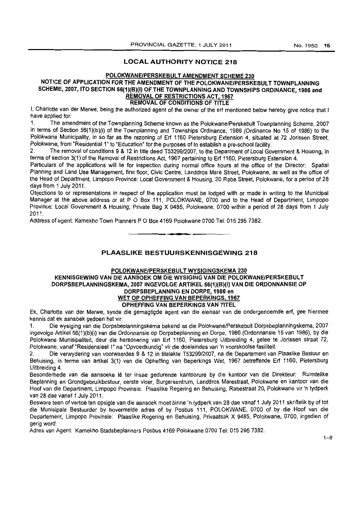# LOCAL AUTHORITY NOTICE 218

# POLOKWANE/PERSKEBULT AMENDMENT SCHEME 230

# NOTICE OF APPLICATION FOR THE AMENDMENT OF THE POLOKWANE/PERSKEBULT TOWNPLANNING SCHEME, 2007, ITO SECTION 56(1)(B)(I) OF THE TOWNPLANNING AND TOWNSHIPS ORDINANCE, 1986 and REMOVAL OF RESTRICTIONS ACT, 1967 REMOVAL OF CONDITIONS OF TITLE

I, Charlotte van der Merwe, being the authorized agent of the owner of the erf mentioned below hereby give notice that I have applied for:

1. The amendment of the Townplanning Scheme known as the Polokwane/Perskebult Townplanning Scheme, 2007 in terms of Section 56(1)(b)(i) of the Townplanning and Townships Ordinance, 1986 (Ordinance No 15 of 1986) to the Polokwane Municipality, in so far as the rezoning of Ert 1160 Pietersburg Extension 4, situated at 72 Jorissen Street, Polokwane, from "Residential 1" to "Education" for the purposes of to establish a pre-school facility.

2. The removal of conditions 9 & 12 in title deed *T53299/2007,* to the Department of Local Government & Housing, in terms of section 3(1) of the Removal of Restrictions Act, 1967 pertaining to Ert 1160, Pietersburg Estension 4.

Particulars of the applications will lie for inspection during normal office hours at the office of the Director: Spatial Planning and Land Use Management, first floor, Civic Centre, Landdros Mare Street. Polokwane, as well as the office of the Head of Department, Limpopo Province: Local Government & Housing, 20 Rabe Street. Polokwane. for a period of 28 days from 1 July 2011.

Objections to or representations in respect of the application must be lodged with or made in writing to the Municipal Manager at the above address or at P O Box 111. POLOKWANE, 0700 and to the Head of Department, Limpopo Province: Local Government & Housing, Private Bag X 9485, Polokwane, 0700 within a period of 28 days from 1 July 2011.

Address of agent: Kamekho Town Planners P O Box 4169 Polokwane 0700 Tel: 015 295 7382.

PLAASLIKE BESTUURSKENNISGEWING 218

• **• •** 

# POLOKWANE/PERSKEBULT WYSIGINGSKEMA 230 KENNISGEWING VAN DIE AANSOEK OM DIE WYSIGING VAN DIE POLOKWANE/PERSKEBULT DORPSBEPLANNINGSKEMA, 2007 INGEVOLGE ARTIKEL 56(1)(B)(I) VAN DIE ORDONNANSIE OP DORP\$BEPLANNING EN DORPE, 1986 en WET OP OPHEFFING VAN BEPERKINGS. 1967 OPHEFFING VAN BEPERKINGS VAN TITEL

Ek, Charlotte van der Merwe, synde die gemagtigde agent van die eienaar van die ondergenoemde ert, gee hiermee kennis dat ek aansoek gedoen het vir:

1. Die wysiging van die Dorpsbeplanningskema bekend as die Polokwane/Perskebult Dorpsbeplanningskema, 2007 ingevolge Artikel 56(1)(b)(i) van die Ordonnansie op Dorpsbeplanning en Dorpe, 1986 (Ordonnansie 15 van 1986), by die Polokwane Munisipaliteit, deur die hersonering van Ert 1160, Pietersburg Uitbreiding 4, gelee te Jorissen straat 72, Polokwane, vanaf "Residensieel 1" na "Opvoedkundig" vir die doeleindes van 'n voorskoolse fasiliteit.

2. Die verwydering van voorwaardes 9 & 12 in titelakte T5329912007, na die Departement van Plaaslike Bestuur en Behuising, in terme van artikel 3(1) van die Opheffing van 8eperkings Wet, 1967 betreffende Ert 1160, Pietersburg Uitbreiding 4.

Besonderhede van die aansoeke Iê ter insae gedurende kantoorure by die kantoor van die Direkteur: Ruimtelike Beplanning en Grondgebruikbestuur, eerste vloer, Burgersentrum, Landdros Marestraat, Polokwane en kantoor van die Hoof van die Department. Limpopo Provinsie: Plaaslike Regering en Behuising, Rabestraat 20, Polokwane vir 'n tydperk van 28 dae vanaf 1 July 2011.

Besware teen of vertoe ten opsigte van die aansoek moet binne 'n tydperk van 28 dae vanaf 1 July 2011 skriftelik by of tot die Munisipale Bestuurder by bovermelde adres of by Posbus 111, POLOKWANE, 0700 of by die Hoof van die Departement, Limpopo Provinsie: Plaaslike Regering en Behuising, Privaatsak X 9485, Polokwane, 0700, ingedien of gerig word.

Adres van Agent: Kamekho Stadsbeplanners Posbus 4169 Polokwane 0700 Tel: 0152957382.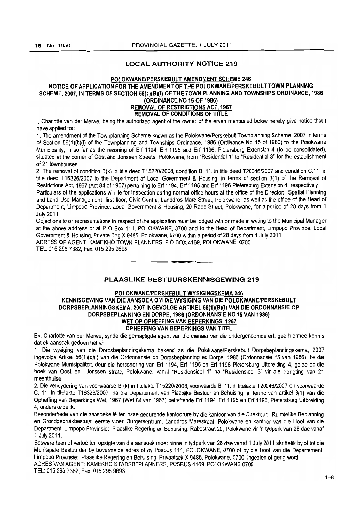# LOCAL AUTHORITY NOTICE 219

# POLOKWANE/PERSKEBULT AMENDMENT SCHEME 246 NOTICE OF APPLICATION FOR THE AMENDMENT OF THE POLOKWANE/PERSKEBULT TOWN PLANNING SCHEME, 2007, IN TERMS OF SECTION 56(1)(B)(i) OF THE TOWN PLANNING AND TOWNSHIPS ORDINANCE, 1986 (ORDINANCE NO 15 OF 1986) REMOVAL OF RESTRICTIONS ACT. 1967

# REMOVAL OF CONDITIONS OF TITLE

I, Charlotte van der Merwe, being the authorized agent of the owner of the erven mentioned below hereby give notice that I have applied for:

1. The amendment of the Townplanning Scheme known as the Polokwane/Perskebult Townplanning Scheme, 2007 in terms of Section 56(1)(b)(i) of the Townplanning and Townships Ordinance, 1986 (Ordinance No 15 of 1986) to the Polokwane Municipality. in so far as the rezoning of Erf 1194, Erf 1195 and Erf 1196, Pietersburg Extension 4 (to be consolidated), situated at the corner of Oost and Jorissen Streets, Polokwane, from "Residential 1" to "Residential 3" for the establishment of 21 townhouses.

2. The removal of condition B(k) in title deed *T15220/2008,* condition B. 11. in title deed T2004612007 and condition C.11. in title deed *T16326/2007* to the Department of Local Government & Housing, in terms of section 3{1) of the Removal of Restrictions Act, 1967 (Act 84 of 1967) pertaining to Erf 1194, Erf 1195 and Erf 1196 Pietersburg Extension 4, respectively.

Particulars of the applications will lie for inspection during normal office hours at the office of the Director: Spatial Planning and Land Use Management, first floor, Civic Centre, Landdros Mare Street, Polokwane, as well as the office of the Head of Department, Limpopo Province: Local Government & Housing, 20 Rabe Street, Polokwane, for a period of 28 days from 1 July 2011.

Objections to or representations in respect of the application must be lodged with or made in writing to the Municipal Manager at the above address or at P O Box 111, POLOKWANE, 0700 and to the Head of Department, Limpopo Province: Local Government & Housing, Private Bag X 9485, Polokwane, *0100* WIthin a period of 28 days from 1 July 2011. ADRESS OF AGENT: KAMEKHO TOWN PLANNERS, POBOX 4169, POLOKWANE, 0700 . **-.** 

TEL: 0152957382, Fax: 0152959693

# PLAASlIKE BESTUURSKENNISGEWING 219

# POLOKWANE/PERSKEBULT WYSIGINGSKEMA 246 KENNISGEWING VAN DIE AANSOEK OM DIE WYSIGING VAN DIE POlOKWANE/PERSKEBUlT DORPSBEPLANNINGSKEMA, 2007 INGEVOLGE ARTIKEL 56(1)(B)(i) VAN DIE ORDONNANSIE OP DORPSBEPLANNING EN DORPE, 1986 (ORDONNANSIE NO 15 VAN 1986) WET OP OPHEFFING VAN BEPERKINGS, 1967 OPHEFFING VAN BEPERKINGS VAN TITEl

Ek, Charlotte *van* der Merwe, synde die gemagtigde agent van die eienaar van die ondergenoemde erf, gee hiermee kennis dat ek aansoek gedoen het vir:

1. Die wysiging van die Dorpsbeplanningskema bekend as die Polokwane/Perskebult Dorpsbeplanningskema, 2007 ingevolge Artikel 56(1)(b)(i) van die Ordonnansie op Dorpsbeplanning en Dorpe, 1986 (Ordonnansie 15 van 1986), by die Polokwane Munisipaliteit, deur die hersonering *van* Erf 1194, Erf 1195 en Erf 1196 Pietersburg Uitbreiding 4, gelee op die hoek van Oost en Jorissen strate, Polokwane, vanaf "Residensieel 1" na "Residensieel 3" vir die oprigting van 21 meenthuise.

2. Die verwydering *van* voorwaarde B (k) in titelakte T1522012008, voorwaarde B. 11. in titelakte *T20046/2007* en voorwaarde C. 11. in titelakte *T16326/2007* na die Departement van Plaaslike Bestuur en Behuising, in terme van artikel 3(1) van die Opheffing van Beperkings Wet, 1967 (Wet 84 van 1967) betreffende Erf 1194, Erf 1195 en Erf 1196, Pietersburg Uitbreiding 4, onderskeidelik.

Besonderhede van die aansoeke lê ter insae gedurende kantoorure by die kantoor van die Direkteur: Ruimtelike Beplanning en Grondgebruikbestuuf, eerste vloer, Burgersentrum, Landdros Marestraat, Polokwane en kantoor van die Hoof van die Department, Limpopo Provinsie: Plaaslike Regering en Behuising, Rabestraat 20, Polokwane vir 'n tydperk van 28 dae vanaf 1 July 2011.

Besware teen of vertoe ten opsigte van die aansoek moet binne 'n tydperk van 28 dae vanaf 1 July 2011 skriftelik by of tot die Munisipale Bestuurder by bovermelde adres of by Posbus 111, POLOKWANE, 0700 of by die Hoof van die Departement, Limpopo Provinsie: Plaaslike Regering en Behuising, Privaatsak X 9485, Polokwane, 0700, ingedien of gerig word. ADRES VAN AGENT: KAMEKHO STADSBEPLANNERS, POSBUS 4169, POLOKWANE 0700

TEL: 0152957382, Fax: 015 295 9693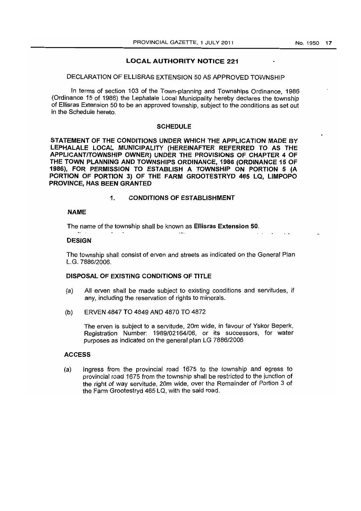# LOCAL AUTHORITY NOTICE 221

## DECLARATION OF ELLISRAS EXTENSION 50 AS APPROVED TOWNSHIP

In terms of section 103 of the Town-planning and Townships Ordinance, 1986 (Ordinance 15 of 1986) the Lephalale Local Municipality hereby declares the township of Ellisras Extension 50 to be an approved township, subject to the conditions as set out in the Schedule hereto.

# **SCHEDULE**

STATEMENT OF THE CONDITIONS UNDER WHICH THE APPLICATION MADE BY LEPHALALE LOCAL MUNICIPALITY (HEREINAFTER REFERRED TO AS THE APPLICANT/TOWNSHIP OWNER) UNDER THE PROVISIONS OF CHAPTER 4 OF THE TOWN PLANNING AND TOWNSHIPS ORDINANCE, 1986 (ORDINANCE 15 OF 1986), FOR PERMISSION TO ESTABLISH A TOWNSHIP ON PORTION 5 (A PORTION OF PORTION 3) OF THE FARM GROOTESTRYD 465 LQ, LIMPOPO PROVINCE, HAS BEEN GRANTED

# 1. CONDITIONS OF ESTABLISHMENT

## NAME

The name of the township shall be known as Ellisras Extension 50.

## **DESIGN**

 $\ddot{\phantom{a}}$ 

The township shall consist of erven and streets as indicated on the General Plan *L.G.7886/2006.* 

 $\sim$ 

# DISPOSAL OF EXISTING CONDITIONS Of TITLE

- (a) All erven shall be made subject to existing conditions and servitudes, if any, including the reservation of rights to minerals.
- (b) ERVEN 4847 TO 4849 AND 4870 TO 4872

The erven is subject to a servitude, 20m wide, in favour of Yskor Beperk, Registration Number: *1989/02164/06,* or its successors, for water purposes as indicated on the general plan LG *7886/2006* 

# ACCESS

(a) Ingress from the provincial road 1675 to the township and egress to provincial road 1675 from the township shall be restricted to the junction of the right of way servitude, 20m wide, over the Remainder of Portion 3 of the Farm Grootestryd 465 LQ, with the said road.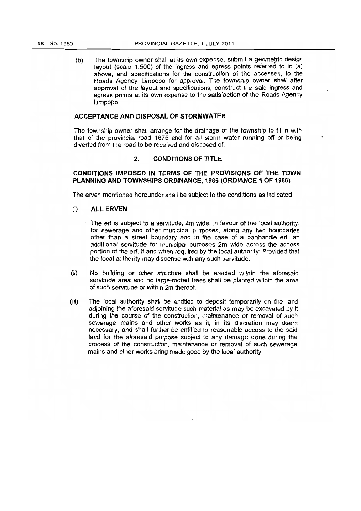$(b)$  The township owner shall at its own expense, submit a geometric design layout (scale 1:500) of the ingress and egress points referred to in (a) above, and specifications for the construction of the accesses, to the Roads Agency Limpopo for approval. The township owner shall after approval of the layout and specifications, construct the said ingress and egress points at its own expense to the satisfaction of the Roads Agency Limpopo.

# **ACCEPTANCE AND DISPOSAL OF STORMWATER**

The township owner shall arrange for the drainage of the township to fit in with that of the provincial road 1675 and for all storm water running off or being diverted from the road to be received and disposed of.

# 2. **CONDITfONS OF TITLE**

# **CONDITIONS IMPOSED IN TERMS OF THE PROVISrONS OF THE TOWN PLANNING AND TOWNSHIPS ORDINANCE, 1986 (ORDIANCE 1 OF 1986)**

The erven mentioned hereunder shall be subject to the conditions as indicated.

# (i) **ALL ERVEN**

- The erf is subject to a servitude, 2m wide, in favour of the local authority, for sewerage and other municipal purposes, along any two boundaries other than a street boundary and in the case of a panhandle erf, an additional servitude for municipal purposes 2m wide across the access portion of the ert, if and when required by the local authority: Provided that the local authority may dispense with any such servitude.
- (ii) No building or other structure shall be erected within the aforesaid servitude area and no large-rooted trees shall be planted within the area of such servitude or within 2m thereof.
- (iii) The local authority shall be entitled to deposit temporarily on the land adjoining the aforesaid servitude such material as may be excavated by it during the course of the construction, maintenance or removal of such sewerage mains and other works as it. in its discretion may deem necessary, and shall further be entitled to reasonable access to the said land for the aforesaid purpose subject to any damage done during the process of the construction, maintenance or removal of such sewerage mains and other works bring made good by the local authority.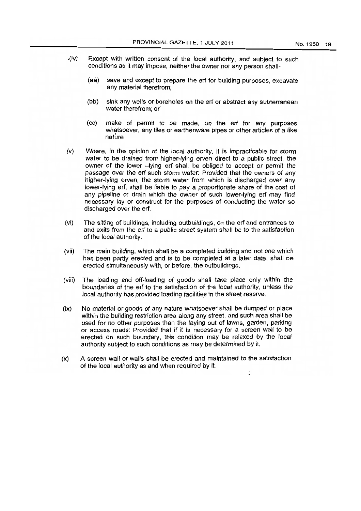- .(iv) Except with written consent of the local authority, and subject to such conditions as it may impose, neither the owner nor any person shall-
	- (aa) save and except to prepare the erf for building purposes, excavate any material therefrom;
	- (bb) sink any wells or-boreholes on the erf or abstract any subterranean water therefrom; or
	- (cc) make of permit to be made, on the erf for any purposes Whatsoever, any tiles or earthenware pipes or other articles of a like nature
- (v) Where, in the opinion of the local authority, it is impracticable for storm water to be drained from higher-lying erven direct to a public street, the owner of the lower -lying erf shall be obliged to accept or permit the passage over the erf such storm water: Provided that the owners of any higher-lying erven, the storm water from which is discharged over any lower-lying erf, shall be liable to pay a proportionate share of the cost of any pipeline or drain which the owner of such lower-lying erf may find necessary lay or construct for the purposes of conducting the water so discharged over the erf.
- (vi) The sitting of buildings, including outbuildings, on the erf and entrances to and exits from the erf to a public street system shall be to the satisfaction of the local authority.
- (vii) The main building, which shall be a completed building and not one which has been partly erected and is to be completed at a later date, shall be erected simultaneously with, or before, the outbuildings.
- (viii) The loading and off-foading of goods shall take place only within the boundaries of the erf to the satisfaction of the local authority, unless the local authority has provided loading facilities in the street reserve.
- $(ix)$  No material or goods of any nature whatsoever shall be dumped or place within the building restriction area along any street, and such area shall be used for no other purposes than the laying out of lawns, garden, parking or access roads: Provided that if it is necessary for a screen wall to be erected on such boundary, this condition may be relaxed by the local authority subject to such conditions as may be determined by it.
- (x) A screen wall or walls shall be erected and maintained to the satisfaction of the local authority as and when required by it.